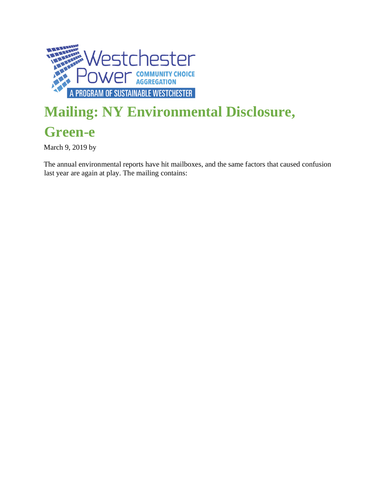

## **Mailing: NY Environmental Disclosure,**

## **Green-e**

March 9, 2019 by

The annual environmental reports have hit mailboxes, and the same factors that caused confusion last year are again at play. The mailing contains: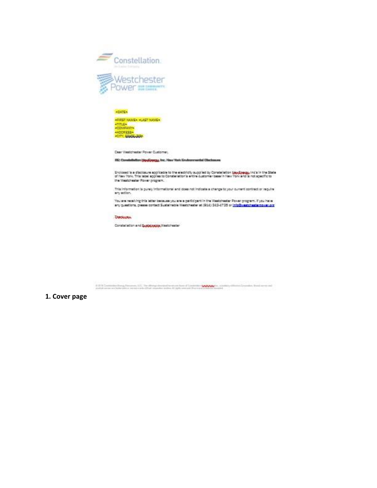

-FIRST NAME» -LAST NAME»<br>-TITLE»<br>-COMPANY»<br>-ADDRESS»<br>-CITY, EGARGARY

Dear Westchester Power Customer.

FEC: Constellation (AppCopro), Inc. New York Environmental Obechnung

Enclosed is a disclosure applicable to the electricity supplied by Constellation **Say Coepy,** Incluin the State<br>of New York. This label applies to Constellation's entire customer base in New York and is not specific to the Westchester Power program.

This information is gurely informational and does not inclosie a change to your current contract or regulre any action.

You are receiving this letter because you are a participant in the Westchester Power program. If you have<br>any guestions, please contact Sustainable Westchester at (201) 243-4725 or <u>info@westchesternows.org</u>

**DUOUGH** 

Constallation and Supply spipe Westchester

U.S. V. Contrains from Newton, U.S., the divergence and the set of Committee COON (no. 4 and by dilution Coupons, Stationers and<br>publication are interaction structure in the massive system II light sourced Sharrow and Sour

1. Cover page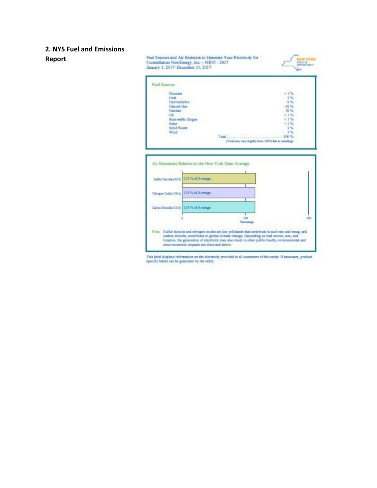## **2. NYS Fuel and Emissions Report**



This label displays information on the electricity provided in all customers of this entity. If necessary, product specific labels can be generated by the entity.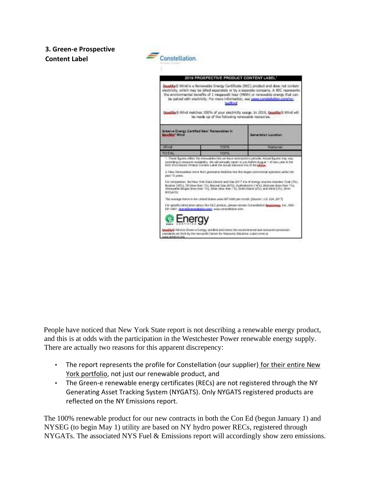## **3. Green-e Prospective Content Label**



People have noticed that New York State report is not describing a renewable energy product, and this is at odds with the participation in the Westchester Power renewable energy supply. There are actually two reasons for this apparent discrepency:

- The report represents the profile for Constellation (our supplier) for their entire New York portfolio, not just our renewable product, and
- The Green-e renewable energy certificates (RECs) are not registered through the NY Generating Asset Tracking System (NYGATS). Only NYGATS registered products are reflected on the NY Emissions report.

The 100% renewable product for our new contracts in both the Con Ed (begun January 1) and NYSEG (to begin May 1) utility are based on NY hydro power RECs, registered through NYGATs. The associated NYS Fuel & Emissions report will accordingly show zero emissions.